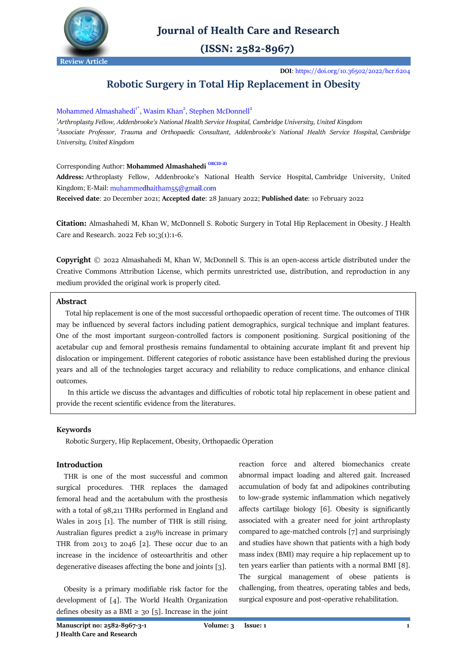

# **Journal of Health Care and Research**

 $(ISSN: 2582-8967)$ 

**DOI**[: https://doi.org/10.36502/2022/hcr.6204](https://doi.org/10.36502/2022/hcr.6204)

# **Robotic Surgery in Total Hip Replacement in Obesity**

## Mohammed Almashahedi<sup>1\*</sup>, Wasim Khan<sup>2</sup>, Stephen McDonnell<sup>2</sup>

1 *Arthroplasty Fellow, Addenbrooke's National Health Service Hospital, Cambridge [University,](https://www.cuh.nhs.uk/) United Kingdom* 2 *Associate Professor, Trauma and Orthopaedic Consultant, Addenbrooke's National Health Service Hospital, [Cambridge](https://www.cuh.nhs.uk/) [University,](https://www.cuh.nhs.uk/) United Kingdom*

## Corresponding Author: **Mohammed Almashahedi [ORCID iD](https://orcid.org/0000-0002-8414-3492)**

**Address:** Arthroplasty Fellow, Addenbrooke's National Health Service Hospital, [Cambridge University,](https://www.cuh.nhs.uk/) United Kingdom; E-Mail: muhammedhaitham55@gmail.com

**Received date**: 20 December 2021; **Accepted date**: 28 January 2022; **Published date**: 10 February 2022

**Citation:** Almashahedi M, Khan W, McDonnell S. Robotic Surgery in Total Hip Replacement in Obesity. J Health Care and Research. 2022 Feb 10;3(1):1-6.

**Copyright** © 2022 Almashahedi M, Khan W, McDonnell S. This is an open-access article distributed under the Creative Commons Attribution License, which permits unrestricted use, distribution, and reproduction in any medium provided the original work is properly cited.

## **Abstract**

 Total hip replacement is one of the most successful orthopaedic operation of recent time. The outcomes of THR may be influenced by several factors including patient demographics, surgical technique and implant features. One of the most important surgeon-controlled factors is component positioning. Surgical positioning of the acetabular cup and femoral prosthesis remains fundamental to obtaining accurate implant fit and prevent hip dislocation or impingement. Different categories of robotic assistance have been established during the previous years and all of the technologies target accuracy and reliability to reduce complications, and enhance clinical outcomes.

 In this article we discuss the advantages and difficulties of robotic total hip replacement in obese patient and provide the recent scientific evidence from the literatures.

## **Keywords**

Robotic Surgery, Hip Replacement, Obesity, Orthopaedic Operation

## **Introduction**

 THR is one of the most successful and common surgical procedures. THR replaces the damaged femoral head and the acetabulum with the prosthesis with a total of 98,211 THRs performed in England and Wales in 2015 [1]. The number of THR is still rising. Australian figures predict a 219% increase in primary THR from 2013 to 2046 [2]. These occur due to an increase in the incidence of osteoarthritis and other degenerative diseases affecting the bone and joints [3].

 Obesity is a primary modifiable risk factor for the development of [4]. The World Health Organization defines obesity as a BMI  $\geq$  30 [5]. Increase in the joint reaction force and altered biomechanics create abnormal impact loading and altered gait. Increased accumulation of body fat and adipokines contributing to low-grade systemic inflammation which negatively affects cartilage biology [6]. Obesity is significantly associated with a greater need for joint arthroplasty compared to age-matched controls [7] and surprisingly and studies have shown that patients with a high body mass index (BMI) may require a hip replacement up to ten years earlier than patients with a normal BMI [8]. The surgical management of obese patients is challenging, from theatres, operating tables and beds, surgical exposure and post-operative rehabilitation.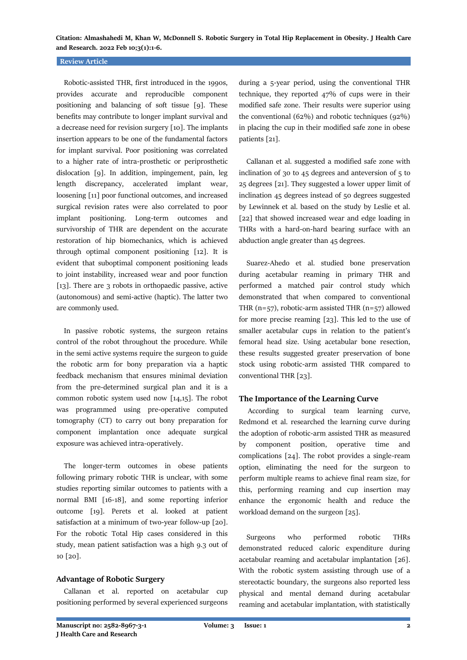## **Review Article**

 Robotic-assisted THR, first introduced in the 1990s, provides accurate and reproducible component positioning and balancing of soft tissue [9]. These benefits may contribute to longer implant survival and a decrease need for revision surgery [10]. The implants insertion appears to be one of the fundamental factors for implant survival. Poor positioning was correlated to a higher rate of intra-prosthetic or periprosthetic dislocation [9]. In addition, impingement, pain, leg length discrepancy, accelerated implant wear, loosening [11] poor functional outcomes, and increased surgical revision rates were also correlated to poor implant positioning. Long-term outcomes and survivorship of THR are dependent on the accurate restoration of hip biomechanics, which is achieved through optimal component positioning [12]. It is evident that suboptimal component positioning leads to joint instability, increased wear and poor function [13]. There are 3 robots in orthopaedic passive, active (autonomous) and semi-active (haptic). The latter two are commonly used.

 In passive robotic systems, the surgeon retains control of the robot throughout the procedure. While in the semi active systems require the surgeon to guide the robotic arm for bony preparation via a haptic feedback mechanism that ensures minimal deviation from the pre-determined surgical plan and it is a common robotic system used now [14,15]. The robot was programmed using pre-operative computed tomography (CT) to carry out bony preparation for component implantation once adequate surgical exposure was achieved intra-operatively.

 The longer-term outcomes in obese patients following primary robotic THR is unclear, with some studies reporting similar outcomes to patients with a normal BMI [16-18], and some reporting inferior outcome [19]. Perets et al. looked at patient satisfaction at a minimum of two-year follow-up [20]. For the robotic Total Hip cases considered in this study, mean patient satisfaction was a high 9.3 out of 10 [20].

## **Advantage of Robotic Surgery**

 Callanan et al. reported on acetabular cup positioning performed by several experienced surgeons during a 5-year period, using the conventional THR technique, they reported 47% of cups were in their modified safe zone. Their results were superior using the conventional  $(62%)$  and robotic techniques  $(92%)$ in placing the cup in their modified safe zone in obese patients [21].

 Callanan et al. suggested a modified safe zone with inclination of 30 to 45 degrees and anteversion of 5 to 25 degrees [21]. They suggested a lower upper limit of inclination 45 degrees instead of 50 degrees suggested by Lewinnek et al. based on the study by Leslie et al. [22] that showed increased wear and edge loading in THRs with a hard-on-hard bearing surface with an abduction angle greater than 45 degrees.

 Suarez-Ahedo et al. studied bone preservation during acetabular reaming in primary THR and performed a matched pair control study which demonstrated that when compared to conventional THR ( $n=57$ ), robotic-arm assisted THR ( $n=57$ ) allowed for more precise reaming [23]. This led to the use of smaller acetabular cups in relation to the patient's femoral head size. Using acetabular bone resection, these results suggested greater preservation of bone stock using robotic-arm assisted THR compared to conventional THR [23].

#### **The Importance of the Learning Curve**

 According to surgical team learning curve, Redmond et al. researched the learning curve during the adoption of robotic-arm assisted THR as measured by component position, operative time and complications [24]. The robot provides a single-ream option, eliminating the need for the surgeon to perform multiple reams to achieve final ream size, for this, performing reaming and cup insertion may enhance the ergonomic health and reduce the workload demand on the surgeon [25].

 Surgeons who performed robotic THRs demonstrated reduced caloric expenditure during acetabular reaming and acetabular implantation [26]. With the robotic system assisting through use of a stereotactic boundary, the surgeons also reported less physical and mental demand during acetabular reaming and acetabular implantation, with statistically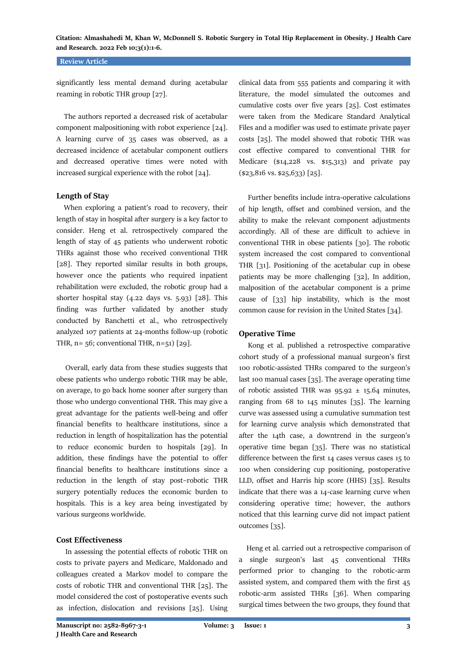#### **Review Article**

significantly less mental demand during acetabular reaming in robotic THR group [27].

 The authors reported a decreased risk of acetabular component malpositioning with robot experience [24]. A learning curve of 35 cases was observed, as a decreased incidence of acetabular component outliers and decreased operative times were noted with increased surgical experience with the robot [24].

#### **Length of Stay**

 When exploring a patient's road to recovery, their length of stay in hospital after surgery is a key factor to consider. Heng et al. retrospectively compared the length of stay of 45 patients who underwent robotic THRs against those who received conventional THR [28]. They reported similar results in both groups, however once the patients who required inpatient rehabilitation were excluded, the robotic group had a shorter hospital stay (4.22 days vs. 5.93) [28]. This finding was further validated by another study conducted by Banchetti et al., who retrospectively analyzed 107 patients at 24-months follow-up (robotic THR,  $n= 56$ ; conventional THR,  $n=51$  [29].

 Overall, early data from these studies suggests that obese patients who undergo robotic THR may be able, on average, to go back home sooner after surgery than those who undergo conventional THR. This may give a great advantage for the patients well-being and offer financial benefits to healthcare institutions, since a reduction in length of hospitalization has the potential to reduce economic burden to hospitals [29]. In addition, these findings have the potential to offer financial benefits to healthcare institutions since a reduction in the length of stay post–robotic THR surgery potentially reduces the economic burden to hospitals. This is a key area being investigated by various surgeons worldwide.

## **Cost Effectiveness**

 In assessing the potential effects of robotic THR on costs to private payers and Medicare, Maldonado and colleagues created a Markov model to compare the costs of robotic THR and conventional THR [25]. The model considered the cost of postoperative events such as infection, dislocation and revisions [25]. Using

clinical data from 555 patients and comparing it with literature, the model simulated the outcomes and cumulative costs over five years [25]. Cost estimates were taken from the Medicare Standard Analytical Files and a modifier was used to estimate private payer costs [25]. The model showed that robotic THR was cost effective compared to conventional THR for Medicare (\$14,228 vs. \$15,313) and private pay (\$23,816 vs. \$25,633) [25].

 Further benefits include intra-operative calculations of hip length, offset and combined version, and the ability to make the relevant component adjustments accordingly. All of these are difficult to achieve in conventional THR in obese patients [30]. The robotic system increased the cost compared to conventional THR [31]. Positioning of the acetabular cup in obese patients may be more challenging [32], In addition, malposition of the acetabular component is a prime cause of [33] hip instability, which is the most common cause for revision in the United States [34].

#### **Operative Time**

 Kong et al. published a retrospective comparative cohort study of a professional manual surgeon's first 100 robotic-assisted THRs compared to the surgeon's last 100 manual cases [35]. The average operating time of robotic assisted THR was  $95.92 \pm 15.64$  minutes, ranging from 68 to 145 minutes [35]. The learning curve was assessed using a cumulative summation test for learning curve analysis which demonstrated that after the 14th case, a downtrend in the surgeon's operative time began [35]. There was no statistical difference between the first 14 cases versus cases 15 to 100 when considering cup positioning, postoperative LLD, offset and Harris hip score (HHS) [35]. Results indicate that there was a 14-case learning curve when considering operative time; however, the authors noticed that this learning curve did not impact patient outcomes [35].

 Heng et al. carried out a retrospective comparison of a single surgeon's last 45 conventional THRs performed prior to changing to the robotic-arm assisted system, and compared them with the first 45 robotic-arm assisted THRs [36]. When comparing surgical times between the two groups, they found that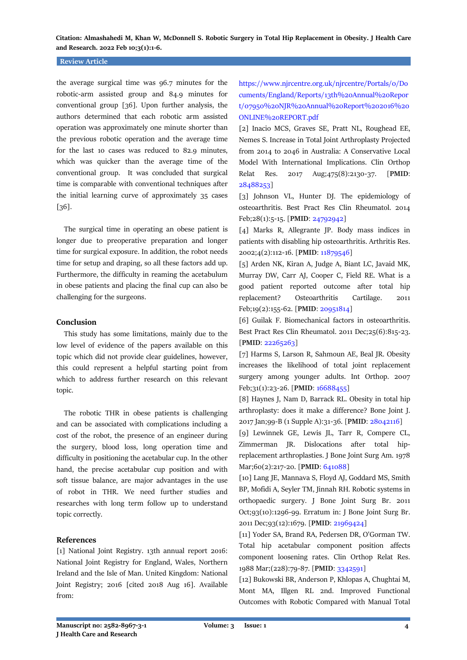## **Review Article**

the average surgical time was 96.7 minutes for the robotic-arm assisted group and 84.9 minutes for conventional group [36]. Upon further analysis, the authors determined that each robotic arm assisted operation was approximately one minute shorter than the previous robotic operation and the average time for the last 10 cases was reduced to 82.9 minutes, which was quicker than the average time of the conventional group. It was concluded that surgical time is comparable with conventional techniques after the initial learning curve of approximately 35 cases [36].

 The surgical time in operating an obese patient is longer due to preoperative preparation and longer time for surgical exposure. In addition, the robot needs time for setup and draping, so all these factors add up. Furthermore, the difficulty in reaming the acetabulum in obese patients and placing the final cup can also be challenging for the surgeons.

## **Conclusion**

 This study has some limitations, mainly due to the low level of evidence of the papers available on this topic which did not provide clear guidelines, however, this could represent a helpful starting point from which to address further research on this relevant topic.

 The robotic THR in obese patients is challenging and can be associated with complications including a cost of the robot, the presence of an engineer during the surgery, blood loss, long operation time and difficulty in positioning the acetabular cup. In the other hand, the precise acetabular cup position and with soft tissue balance, are major advantages in the use of robot in THR. We need further studies and researches with long term follow up to understand topic correctly.

## **References**

[1] National Joint Registry. 13th annual report 2016: National Joint Registry for England, Wales, Northern Ireland and the Isle of Man. United Kingdom: National Joint Registry; 2016 [cited 2018 Aug 16]. Available from:

[https://www.njrcentre.org.uk/njrcentre/Portals/0/Do](https://www.njrcentre.org.uk/njrcentre/Portals/0/Documents/England/Reports/13th%20Annual%20Report/07950%20NJR%20Annual%20Report%202016%20ONLINE%20REPORT.pdf) [cuments/England/Reports/13th%20Annual%20Repor](https://www.njrcentre.org.uk/njrcentre/Portals/0/Documents/England/Reports/13th%20Annual%20Report/07950%20NJR%20Annual%20Report%202016%20ONLINE%20REPORT.pdf) [t/07950%20NJR%20Annual%20Report%202016%20](https://www.njrcentre.org.uk/njrcentre/Portals/0/Documents/England/Reports/13th%20Annual%20Report/07950%20NJR%20Annual%20Report%202016%20ONLINE%20REPORT.pdf) [ONLINE%20REPORT.pdf](https://www.njrcentre.org.uk/njrcentre/Portals/0/Documents/England/Reports/13th%20Annual%20Report/07950%20NJR%20Annual%20Report%202016%20ONLINE%20REPORT.pdf)

[2] Inacio MCS, Graves SE, Pratt NL, Roughead EE, Nemes S. Increase in Total Joint Arthroplasty Projected from 2014 to 2046 in Australia: A Conservative Local Model With International Implications. Clin Orthop Relat Res. 2017 Aug;475(8):2130-37. [**PMID**: [28488253\]](https://pubmed.ncbi.nlm.nih.gov/28488253/)

[3] Johnson VL, Hunter DJ. The epidemiology of osteoarthritis. Best Pract Res Clin Rheumatol. 2014 Feb;28(1):5-15. [**PMID**[: 24792942\]](https://pubmed.ncbi.nlm.nih.gov/24792942/)

[4] Marks R, Allegrante JP. Body mass indices in patients with disabling hip osteoarthritis. Arthritis Res. 2002;4(2):112-16. [**PMID**: [11879546\]](https://pubmed.ncbi.nlm.nih.gov/11879546/)

[5] Arden NK, Kiran A, Judge A, Biant LC, Javaid MK, Murray DW, Carr AJ, Cooper C, Field RE. What is a good patient reported outcome after total hip replacement? Osteoarthritis Cartilage. 2011 Feb;19(2):155-62. [**PMID**: [20951814\]](https://pubmed.ncbi.nlm.nih.gov/20951814/)

[6] Guilak F. Biomechanical factors in osteoarthritis. Best Pract Res Clin Rheumatol. 2011 Dec;25(6):815-23. [**PMID**: [22265263\]](https://pubmed.ncbi.nlm.nih.gov/22265263/)

[7] Harms S, Larson R, Sahmoun AE, Beal JR. Obesity increases the likelihood of total joint replacement surgery among younger adults. Int Orthop. 2007 Feb;31(1):23-26. [**PMID**: [16688455\]](https://pubmed.ncbi.nlm.nih.gov/16688455/)

[8] Haynes J, Nam D, Barrack RL. Obesity in total hip arthroplasty: does it make a difference? Bone Joint J. 2017 Jan;99-B (1 Supple A):31-36. [**PMID**: [28042116\]](https://pubmed.ncbi.nlm.nih.gov/28042116/)

[9] Lewinnek GE, Lewis JL, Tarr R, Compere CL, Zimmerman JR. Dislocations after total hipreplacement arthroplasties. J Bone Joint Surg Am. 1978 Mar;60(2):217-20. [**PMID**[: 641088\]](https://pubmed.ncbi.nlm.nih.gov/641088/)

[10] Lang JE, Mannava S, Floyd AJ, Goddard MS, Smith BP, Mofidi A, Seyler TM, Jinnah RH. Robotic systems in orthopaedic surgery. J Bone Joint Surg Br. 2011 Oct;93(10):1296-99. Erratum in: J Bone Joint Surg Br. 2011 Dec;93(12):1679. [**PMID**[: 21969424\]](https://pubmed.ncbi.nlm.nih.gov/21969424/)

[11] Yoder SA, Brand RA, Pedersen DR, O'Gorman TW. Total hip acetabular component position affects component loosening rates. Clin Orthop Relat Res. 1988 Mar;(228):79-87. [**PMID**: [3342591\]](https://pubmed.ncbi.nlm.nih.gov/3342591/)

[12] Bukowski BR, Anderson P, Khlopas A, Chughtai M, Mont MA, Illgen RL 2nd. Improved Functional Outcomes with Robotic Compared with Manual Total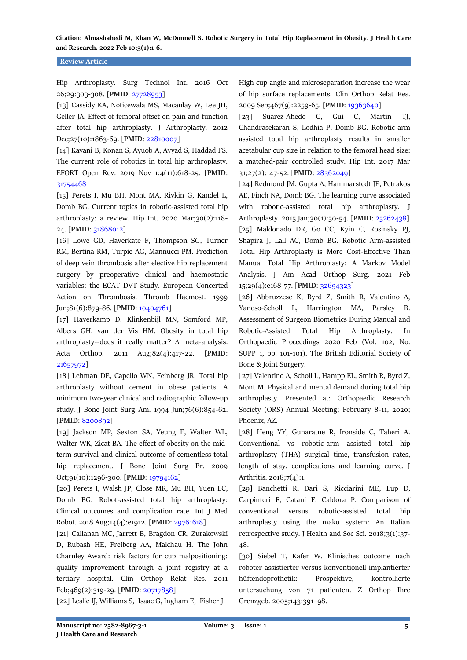#### **Review Article**

Hip Arthroplasty. Surg Technol Int. 2016 Oct 26;29:303-308. [**PMID**: [27728953\]](https://pubmed.ncbi.nlm.nih.gov/27728953/)

[13] Cassidy KA, Noticewala MS, Macaulay W, Lee JH, Geller JA. Effect of femoral offset on pain and function after total hip arthroplasty. J Arthroplasty. 2012 Dec;27(10):1863-69. [**PMID**: [22810007\]](https://pubmed.ncbi.nlm.nih.gov/22810007/)

[14] Kayani B, Konan S, Ayuob A, Ayyad S, Haddad FS. The current role of robotics in total hip arthroplasty. EFORT Open Rev. 2019 Nov 1;4(11):618-25. [**PMID**: [31754468\]](https://pubmed.ncbi.nlm.nih.gov/31754468/)

[15] Perets I, Mu BH, Mont MA, Rivkin G, Kandel L, Domb BG. Current topics in robotic-assisted total hip arthroplasty: a review. Hip Int. 2020 Mar;30(2):118- 24. [**PMID**: [31868012\]](https://pubmed.ncbi.nlm.nih.gov/31868012/)

[16] Lowe GD, Haverkate F, Thompson SG, Turner RM, Bertina RM, Turpie AG, Mannucci PM. Prediction of deep vein thrombosis after elective hip replacement surgery by preoperative clinical and haemostatic variables: the ECAT DVT Study. European Concerted Action on Thrombosis. Thromb Haemost. 1999 Jun;81(6):879-86. [**PMID**: [10404761\]](https://pubmed.ncbi.nlm.nih.gov/10404761/)

[17] Haverkamp D, Klinkenbijl MN, Somford MP, Albers GH, van der Vis HM. Obesity in total hip arthroplasty--does it really matter? A meta-analysis. Acta Orthop. 2011 Aug;82(4):417-22. [**PMID**: [21657972\]](https://pubmed.ncbi.nlm.nih.gov/21657972/)

[18] Lehman DE, Capello WN, Feinberg JR. Total hip arthroplasty without cement in obese patients. A minimum two-year clinical and radiographic follow-up study. J Bone Joint Surg Am. 1994 Jun;76(6):854-62. [**PMID**[: 8200892\]](https://pubmed.ncbi.nlm.nih.gov/8200892/)

[19] Jackson MP, Sexton SA, Yeung E, Walter WL, Walter WK, Zicat BA. The effect of obesity on the midterm survival and clinical outcome of cementless total hip replacement. J Bone Joint Surg Br. 2009 Oct;91(10):1296-300. [**PMID**: [19794162\]](https://pubmed.ncbi.nlm.nih.gov/19794162/)

[20] Perets I, Walsh JP, Close MR, Mu BH, Yuen LC, Domb BG. Robot-assisted total hip arthroplasty: Clinical outcomes and complication rate. Int J Med Robot. 2018 Aug;14(4):e1912. [**PMID**: [29761618\]](https://pubmed.ncbi.nlm.nih.gov/29761618/)

[21] Callanan MC, Jarrett B, Bragdon CR, Zurakowski D, Rubash HE, Freiberg AA, Malchau H. The John Charnley Award: risk factors for cup malpositioning: quality improvement through a joint registry at a tertiary hospital. Clin Orthop Relat Res. 2011 Feb;469(2):319-29. [**PMID**[: 20717858\]](https://pubmed.ncbi.nlm.nih.gov/20717858/)

[22] Leslie IJ, Williams S, Isaac G, Ingham E, Fisher J.

High cup angle and microseparation increase the wear of hip surface replacements. Clin Orthop Relat Res. 2009 Sep;467(9):2259-65. [**PMID**[: 19363640\]](https://pubmed.ncbi.nlm.nih.gov/19363640/)

[23] Suarez-Ahedo C, Gui C, Martin TJ, Chandrasekaran S, Lodhia P, Domb BG. Robotic-arm assisted total hip arthroplasty results in smaller acetabular cup size in relation to the femoral head size: a matched-pair controlled study. Hip Int. 2017 Mar 31;27(2):147-52. [**PMID**[: 28362049\]](https://pubmed.ncbi.nlm.nih.gov/28362049/)

[24] Redmond JM, Gupta A, Hammarstedt JE, Petrakos AE, Finch NA, Domb BG. The learning curve associated with robotic-assisted total hip arthroplasty. I Arthroplasty. 2015 Jan;30(1):50-54. [**PMID**: [25262438\]](https://pubmed.ncbi.nlm.nih.gov/25262438/) [25] Maldonado DR, Go CC, Kyin C, Rosinsky PJ, Shapira J, Lall AC, Domb BG. Robotic Arm-assisted Total Hip Arthroplasty is More Cost-Effective Than Manual Total Hip Arthroplasty: A Markov Model Analysis. J Am Acad Orthop Surg. 2021 Feb 15;29(4):e168-77. [**PMID**: [32694323\]](https://pubmed.ncbi.nlm.nih.gov/32694323/)

[26] Abbruzzese K, Byrd Z, Smith R, Valentino A, Yanoso-Scholl L, Harrington MA, Parsley Assessment of Surgeon Biometrics During Manual and Robotic-Assisted Total Hip Arthroplasty. In Orthopaedic Proceedings 2020 Feb (Vol. 102, No. SUPP<sub>1</sub>, pp. 101-101). The British Editorial Society of Bone & Joint Surgery.

[27] Valentino A, Scholl L, Hampp EL, Smith R, Byrd Z, Mont M. Physical and mental demand during total hip arthroplasty. Presented at: Orthopaedic Research Society (ORS) Annual Meeting; February 8-11, 2020; Phoenix, AZ.

[28] Heng YY, Gunaratne R, Ironside C, Taheri A. Conventional vs robotic-arm assisted total hip arthroplasty (THA) surgical time, transfusion rates, length of stay, complications and learning curve. J Arthritis. 2018;7(4):1.

[29] Banchetti R, Dari S, Ricciarini ME, Lup D, Carpinteri F, Catani F, Caldora P. Comparison of conventional versus robotic-assisted total hip arthroplasty using the mako system: An Italian retrospective study. J Health and Soc Sci. 2018;3(1):37- 48.

[30] Siebel T, Käfer W. Klinisches outcome nach roboter-assistierter versus konventionell implantierter hüftendoprothetik: Prospektive, kontrollierte untersuchung von 71 patienten. Z Orthop Ihre Grenzgeb. 2005;143:391–98.